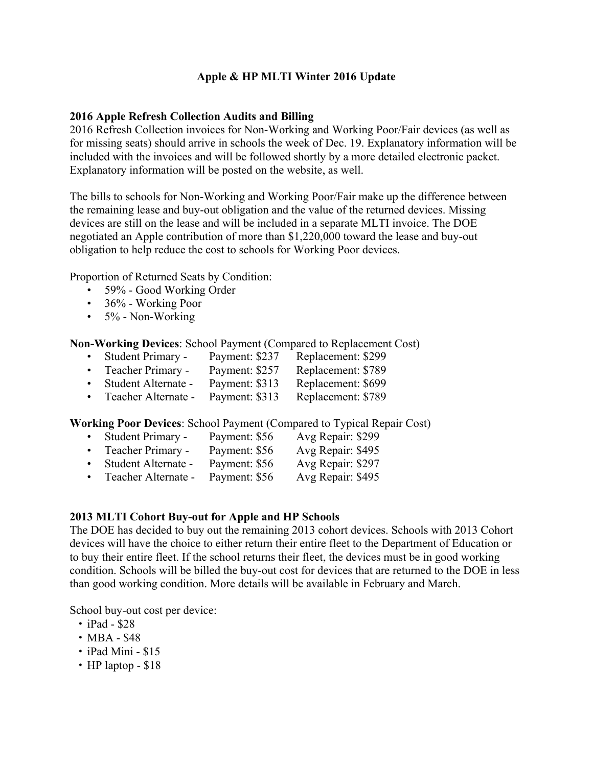## **Apple & HP MLTI Winter 2016 Update**

### **2016 Apple Refresh Collection Audits and Billing**

2016 Refresh Collection invoices for Non-Working and Working Poor/Fair devices (as well as for missing seats) should arrive in schools the week of Dec. 19. Explanatory information will be included with the invoices and will be followed shortly by a more detailed electronic packet. Explanatory information will be posted on the website, as well.

The bills to schools for Non-Working and Working Poor/Fair make up the difference between the remaining lease and buy-out obligation and the value of the returned devices. Missing devices are still on the lease and will be included in a separate MLTI invoice. The DOE negotiated an Apple contribution of more than \$1,220,000 toward the lease and buy-out obligation to help reduce the cost to schools for Working Poor devices.

Proportion of Returned Seats by Condition:

- 59% Good Working Order
- 36% Working Poor
- $\cdot$  5% Non-Working

**Non-Working Devices**: School Payment (Compared to Replacement Cost)

- Student Primary Payment: \$237 Replacement: \$299
- Teacher Primary Payment: \$257 Replacement: \$789
- Student Alternate Payment: \$313 Replacement: \$699
- Teacher Alternate Payment: \$313 Replacement: \$789

**Working Poor Devices**: School Payment (Compared to Typical Repair Cost)

- Student Primary Payment: \$56 Avg Repair: \$299
- Teacher Primary Payment: \$56 Avg Repair: \$495
- Student Alternate Payment: \$56 Avg Repair: \$297
- Teacher Alternate Payment: \$56 Avg Repair: \$495

### **2013 MLTI Cohort Buy-out for Apple and HP Schools**

The DOE has decided to buy out the remaining 2013 cohort devices. Schools with 2013 Cohort devices will have the choice to either return their entire fleet to the Department of Education or to buy their entire fleet. If the school returns their fleet, the devices must be in good working condition. Schools will be billed the buy-out cost for devices that are returned to the DOE in less than good working condition. More details will be available in February and March.

School buy-out cost per device:

- iPad \$28
- MBA \$48
- iPad Mini \$15
- HP laptop \$18